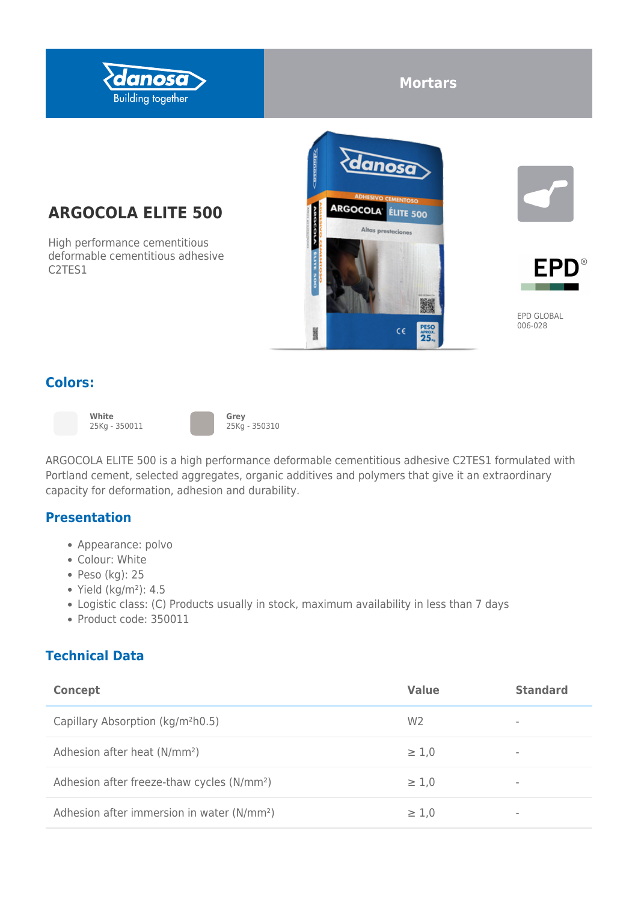

# **Mortars**

# **ARGOCOLA ELITE 500**

High performance cementitious deformable cementitious adhesive C2TES1







EPD GLOBAL 006-028

### **Colors:**



**White** 25Kg - 350011



**Grey** 25Kg - 350310

ARGOCOLA ELITE 500 is a high performance deformable cementitious adhesive C2TES1 formulated with Portland cement, selected aggregates, organic additives and polymers that give it an extraordinary capacity for deformation, adhesion and durability.

#### **Presentation**

- Appearance: polvo
- Colour: White
- $\bullet$  Peso (kg): 25
- $\bullet$  Yield (kg/m<sup>2</sup>): 4.5
- Logistic class: (C) Products usually in stock, maximum availability in less than 7 days
- Product code: 350011

### **Technical Data**

| Concept                                                | <b>Value</b>   | <b>Standard</b> |
|--------------------------------------------------------|----------------|-----------------|
| Capillary Absorption (kg/m <sup>2</sup> h0.5)          | W <sub>2</sub> | ٠               |
| Adhesion after heat (N/mm <sup>2</sup> )               | $\geq 1.0$     | ٠               |
| Adhesion after freeze-thaw cycles (N/mm <sup>2</sup> ) | $\geq 1,0$     | ٠               |
| Adhesion after immersion in water (N/mm <sup>2</sup> ) | $\geq 1,0$     | ٠               |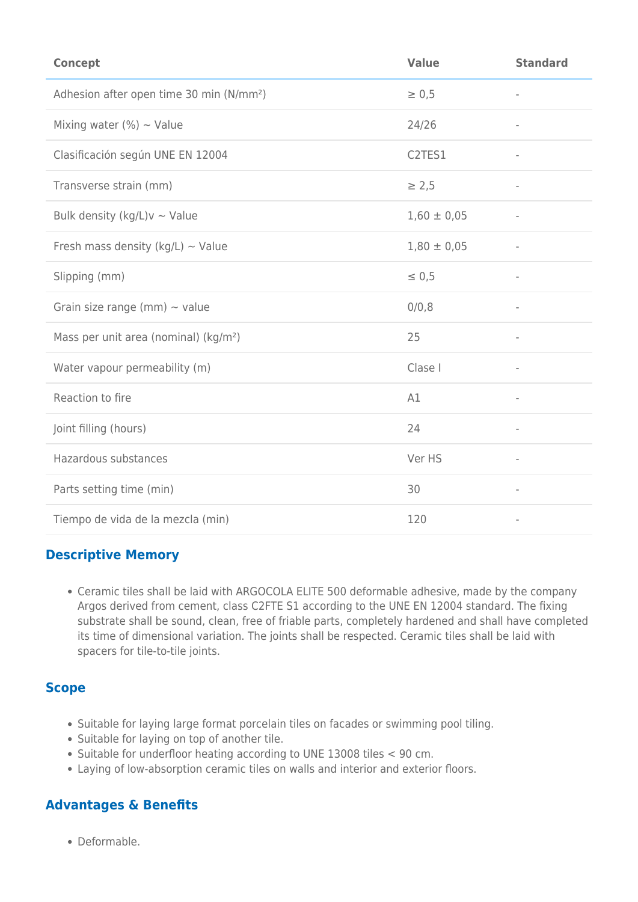| <b>Concept</b>                                       | <b>Value</b>    | <b>Standard</b>          |
|------------------------------------------------------|-----------------|--------------------------|
| Adhesion after open time 30 min (N/mm <sup>2</sup> ) | $\geq 0.5$      | $\overline{\phantom{a}}$ |
| Mixing water (%) $\sim$ Value                        | 24/26           | $\overline{\phantom{a}}$ |
| Clasificación según UNE EN 12004                     | C2TES1          | $\overline{\phantom{a}}$ |
| Transverse strain (mm)                               | $\geq 2,5$      | $\overline{\phantom{a}}$ |
| Bulk density (kg/L) $v \sim$ Value                   | $1,60 \pm 0,05$ | $\overline{\phantom{a}}$ |
| Fresh mass density (kg/L) $\sim$ Value               | $1,80 \pm 0,05$ | $\overline{\phantom{a}}$ |
| Slipping (mm)                                        | $\leq 0.5$      | $\overline{\phantom{a}}$ |
| Grain size range (mm) $\sim$ value                   | 0/0,8           | $\bar{ }$                |
| Mass per unit area (nominal) (kg/m <sup>2</sup> )    | 25              | $\overline{\phantom{a}}$ |
| Water vapour permeability (m)                        | Clase I         | $\overline{\phantom{a}}$ |
| Reaction to fire                                     | A1              | $\overline{\phantom{a}}$ |
| Joint filling (hours)                                | 24              | $\overline{\phantom{a}}$ |
| Hazardous substances                                 | Ver HS          | $\overline{\phantom{a}}$ |
| Parts setting time (min)                             | 30              | $\overline{\phantom{a}}$ |
| Tiempo de vida de la mezcla (min)                    | 120             | $\overline{\phantom{a}}$ |

### **Descriptive Memory**

Ceramic tiles shall be laid with ARGOCOLA ELITE 500 deformable adhesive, made by the company Argos derived from cement, class C2FTE S1 according to the UNE EN 12004 standard. The fixing substrate shall be sound, clean, free of friable parts, completely hardened and shall have completed its time of dimensional variation. The joints shall be respected. Ceramic tiles shall be laid with spacers for tile-to-tile joints.

### **Scope**

- Suitable for laying large format porcelain tiles on facades or swimming pool tiling.
- Suitable for laying on top of another tile.
- Suitable for underfloor heating according to UNE 13008 tiles < 90 cm.
- Laying of low-absorption ceramic tiles on walls and interior and exterior floors.

### **Advantages & Benefits**

Deformable.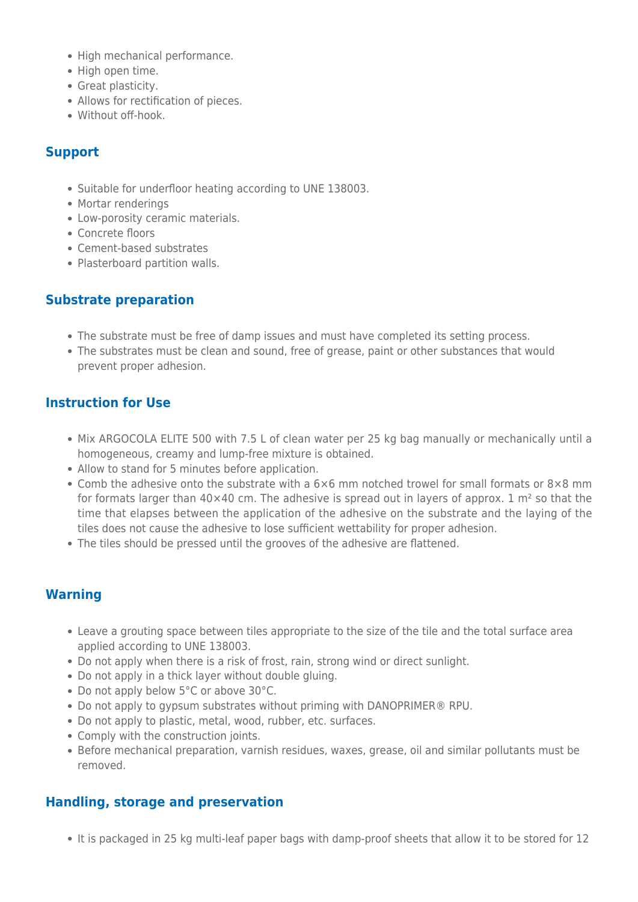- High mechanical performance.
- High open time.
- Great plasticity.
- Allows for rectification of pieces.
- Without off-hook.

#### **Support**

- Suitable for underfloor heating according to UNE 138003.
- Mortar renderings
- Low-porosity ceramic materials.
- Concrete floors
- Cement-based substrates
- Plasterboard partition walls.

### **Substrate preparation**

- The substrate must be free of damp issues and must have completed its setting process.
- The substrates must be clean and sound, free of grease, paint or other substances that would prevent proper adhesion.

### **Instruction for Use**

- Mix ARGOCOLA ELITE 500 with 7.5 L of clean water per 25 kg bag manually or mechanically until a homogeneous, creamy and lump-free mixture is obtained.
- Allow to stand for 5 minutes before application.
- Comb the adhesive onto the substrate with a  $6\times6$  mm notched trowel for small formats or  $8\times8$  mm for formats larger than 40×40 cm. The adhesive is spread out in layers of approx. 1 m<sup>2</sup> so that the time that elapses between the application of the adhesive on the substrate and the laying of the tiles does not cause the adhesive to lose sufficient wettability for proper adhesion.
- The tiles should be pressed until the grooves of the adhesive are flattened.

#### **Warning**

- Leave a grouting space between tiles appropriate to the size of the tile and the total surface area applied according to UNE 138003.
- Do not apply when there is a risk of frost, rain, strong wind or direct sunlight.
- Do not apply in a thick layer without double gluing.
- Do not apply below 5°C or above 30°C.
- Do not apply to gypsum substrates without priming with DANOPRIMER® RPU.
- Do not apply to plastic, metal, wood, rubber, etc. surfaces.
- Comply with the construction joints.
- Before mechanical preparation, varnish residues, waxes, grease, oil and similar pollutants must be removed.

### **Handling, storage and preservation**

• It is packaged in 25 kg multi-leaf paper bags with damp-proof sheets that allow it to be stored for 12